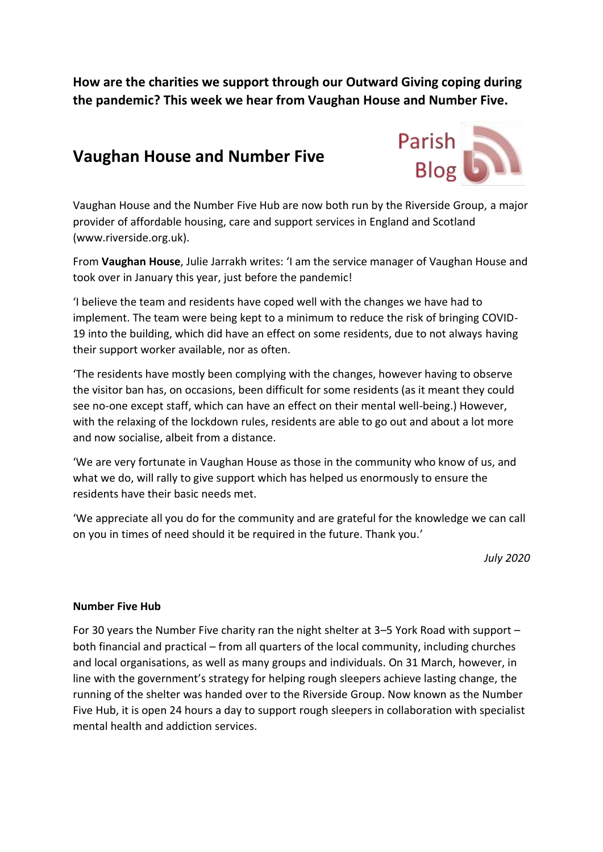**How are the charities we support through our Outward Giving coping during the pandemic? This week we hear from Vaughan House and Number Five.**

## **Vaughan House and Number Five**



Vaughan House and the Number Five Hub are now both run by the Riverside Group, a major provider of affordable housing, care and support services in England and Scotland (www.riverside.org.uk).

From **Vaughan House**, Julie Jarrakh writes: 'I am the service manager of Vaughan House and took over in January this year, just before the pandemic!

'I believe the team and residents have coped well with the changes we have had to implement. The team were being kept to a minimum to reduce the risk of bringing COVID-19 into the building, which did have an effect on some residents, due to not always having their support worker available, nor as often.

'The residents have mostly been complying with the changes, however having to observe the visitor ban has, on occasions, been difficult for some residents (as it meant they could see no-one except staff, which can have an effect on their mental well-being.) However, with the relaxing of the lockdown rules, residents are able to go out and about a lot more and now socialise, albeit from a distance.

'We are very fortunate in Vaughan House as those in the community who know of us, and what we do, will rally to give support which has helped us enormously to ensure the residents have their basic needs met.

'We appreciate all you do for the community and are grateful for the knowledge we can call on you in times of need should it be required in the future. Thank you.'

*July 2020*

## **Number Five Hub**

For 30 years the Number Five charity ran the night shelter at 3–5 York Road with support – both financial and practical – from all quarters of the local community, including churches and local organisations, as well as many groups and individuals. On 31 March, however, in line with the government's strategy for helping rough sleepers achieve lasting change, the running of the shelter was handed over to the Riverside Group. Now known as the Number Five Hub, it is open 24 hours a day to support rough sleepers in collaboration with specialist mental health and addiction services.